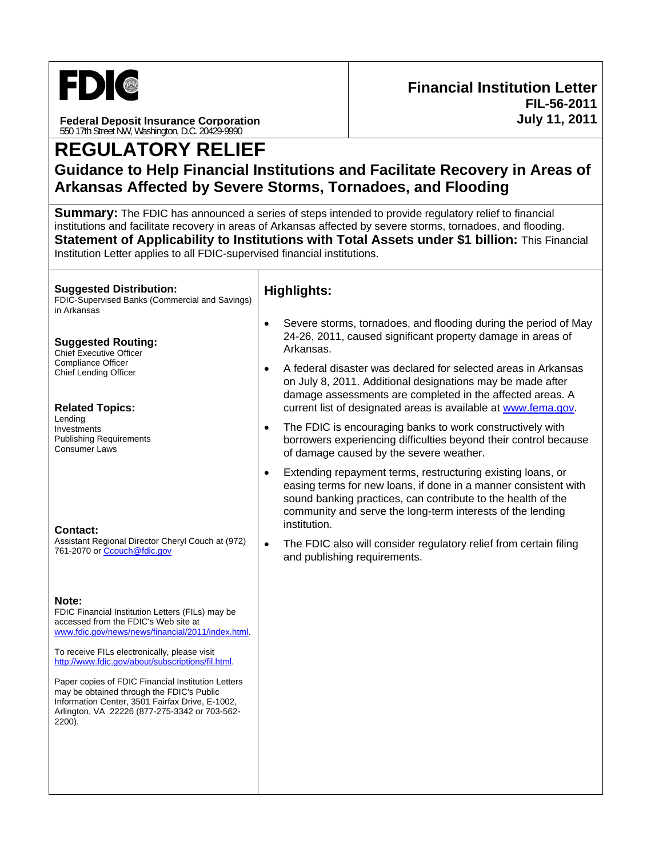

**Federal Deposit Insurance Corporation**  550 17th Street NW, Washington, D.C. 20429-9990

# **REGULATORY RELIEF**

**Guidance to Help Financial Institutions and Facilitate Recovery in Areas of Arkansas Affected by Severe Storms, Tornadoes, and Flooding** 

**Summary:** The FDIC has announced a series of steps intended to provide regulatory relief to financial institutions and facilitate recovery in areas of Arkansas affected by severe storms, tornadoes, and flooding. **Statement of Applicability to Institutions with Total Assets under \$1 billion:** This Financial Institution Letter applies to all FDIC-supervised financial institutions.

#### **Suggested Distribution:**

FDIC-Supervised Banks (Commercial and Savings) in Arkansas

#### **Suggested Routing:**

Chief Executive Officer Compliance Officer Chief Lending Officer

## **Related Topics:**

Lending Investments Publishing Requirements Consumer Laws

## **Contact:**

Assistant Regional Director Cheryl Couch at (972) 761-2070 or Ccouch@fdic.gov

#### **Note:**

FDIC Financial Institution Letters (FILs) may be accessed from the FDIC's Web site at www.fdic.gov/news/news/financial/2011/index.html.

To receive FILs electronically, please visit http://www.fdic.gov/about/subscriptions/fil.html.

Paper copies of FDIC Financial Institution Letters may be obtained through the FDIC's Public Information Center, 3501 Fairfax Drive, E-1002, Arlington, VA 22226 (877-275-3342 or 703-562- 2200).

## **Highlights:**

- Severe storms, tornadoes, and flooding during the period of May 24-26, 2011, caused significant property damage in areas of Arkansas.
- A federal disaster was declared for selected areas in Arkansas on July 8, 2011. Additional designations may be made after damage assessments are completed in the affected areas. A current list of designated areas is available at www.fema.gov.
- The FDIC is encouraging banks to work constructively with borrowers experiencing difficulties beyond their control because of damage caused by the severe weather.
- Extending repayment terms, restructuring existing loans, or easing terms for new loans, if done in a manner consistent with sound banking practices, can contribute to the health of the community and serve the long-term interests of the lending institution.
- The FDIC also will consider regulatory relief from certain filing and publishing requirements.